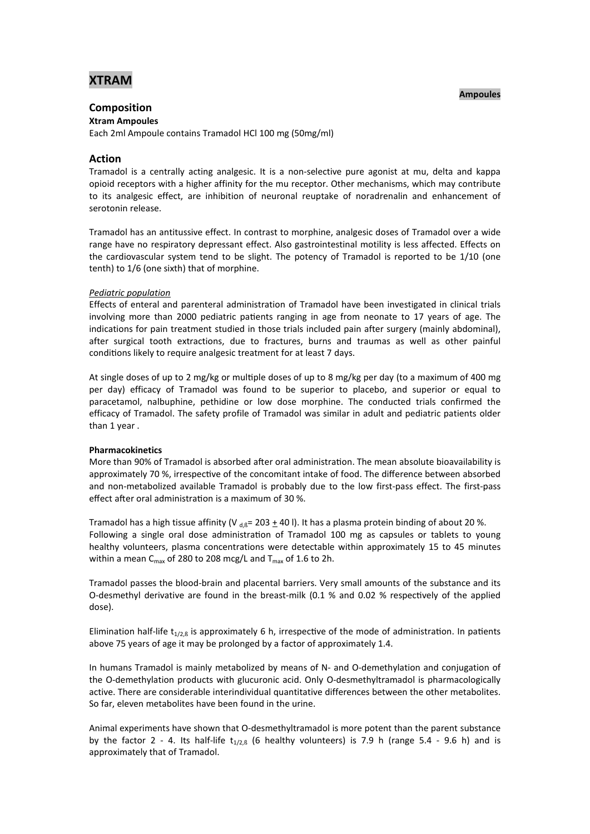# **XTRAM**

### **Ampoules**

## **Composition**

**Xtram Ampoules** Each 2ml Ampoule contains Tramadol HCl 100 mg (50mg/ml)

### **Action**

Tramadol is a centrally acting analgesic. It is a non-selective pure agonist at mu, delta and kappa opioid receptors with a higher affinity for the mu receptor. Other mechanisms, which may contribute to its analgesic effect, are inhibition of neuronal reuptake of noradrenalin and enhancement of serotonin release.

Tramadol has an antitussive effect. In contrast to morphine, analgesic doses of Tramadol over a wide range have no respiratory depressant effect. Also gastrointestinal motility is less affected. Effects on the cardiovascular system tend to be slight. The potency of Tramadol is reported to be 1/10 (one tenth) to 1/6 (one sixth) that of morphine.

### *Pediatric population*

Effects of enteral and parenteral administration of Tramadol have been investigated in clinical trials involving more than 2000 pediatric patients ranging in age from neonate to 17 years of age. The indications for pain treatment studied in those trials included pain after surgery (mainly abdominal), after surgical tooth extractions, due to fractures, burns and traumas as well as other painful conditions likely to require analgesic treatment for at least 7 days.

At single doses of up to 2 mg/kg or multiple doses of up to 8 mg/kg per day (to a maximum of 400 mg per day) efficacy of Tramadol was found to be superior to placebo, and superior or equal to paracetamol, nalbuphine, pethidine or low dose morphine. The conducted trials confirmed the efficacy of Tramadol. The safety profile of Tramadol was similar in adult and pediatric patients older than 1 year .

### **Pharmacokinetics**

More than 90% of Tramadol is absorbed after oral administration. The mean absolute bioavailability is approximately 70 %, irrespective of the concomitant intake of food. The difference between absorbed and non-metabolized available Tramadol is probably due to the low first-pass effect. The first-pass effect after oral administration is a maximum of 30 %.

Tramadol has a high tissue affinity (V  $_{\text{d,R}}$ = 203  $\pm$  40 l). It has a plasma protein binding of about 20 %. Following a single oral dose administration of Tramadol 100 mg as capsules or tablets to young healthy volunteers, plasma concentrations were detectable within approximately 15 to 45 minutes within a mean  $C_{\text{max}}$  of 280 to 208 mcg/L and  $T_{\text{max}}$  of 1.6 to 2h.

Tramadol passes the blood-brain and placental barriers. Very small amounts of the substance and its O-desmethyl derivative are found in the breast-milk  $(0.1 \, %$  and  $0.02 \, %$  respectively of the applied dose).

Elimination half-life  $t_{1/2, \beta}$  is approximately 6 h, irrespective of the mode of administration. In patients above 75 years of age it may be prolonged by a factor of approximately 1.4.

In humans Tramadol is mainly metabolized by means of N- and O-demethylation and conjugation of the O-demethylation products with glucuronic acid. Only O-desmethyltramadol is pharmacologically active. There are considerable interindividual quantitative differences between the other metabolites. So far, eleven metabolites have been found in the urine.

Animal experiments have shown that O-desmethyltramadol is more potent than the parent substance by the factor 2 - 4. Its half-life  $t_{1/2,6}$  (6 healthy volunteers) is 7.9 h (range 5.4 - 9.6 h) and is approximately that of Tramadol.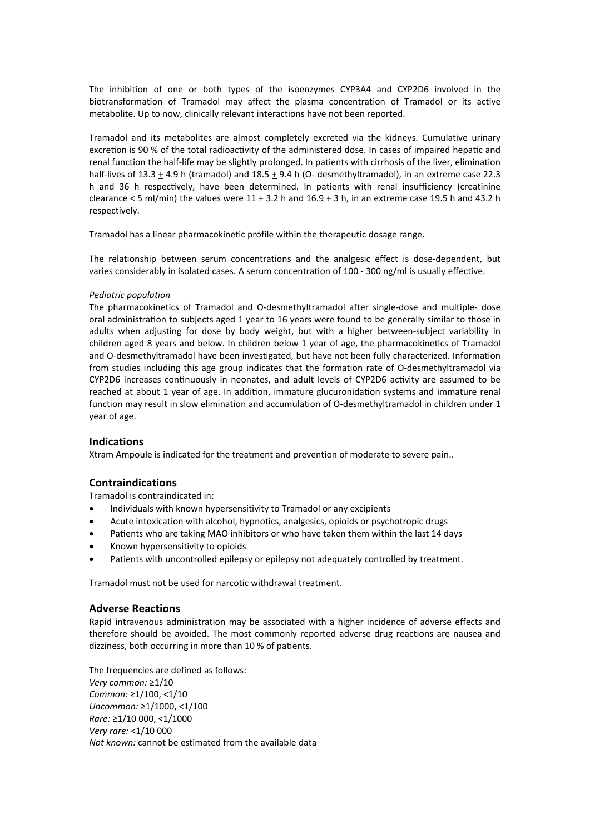The inhibition of one or both types of the isoenzymes CYP3A4 and CYP2D6 involved in the biotransformation of Tramadol may affect the plasma concentration of Tramadol or its active metabolite. Up to now, clinically relevant interactions have not been reported.

Tramadol and its metabolites are almost completely excreted via the kidneys. Cumulative urinary excretion is 90 % of the total radioactivity of the administered dose. In cases of impaired hepatic and renal function the half-life may be slightly prolonged. In patients with cirrhosis of the liver, elimination half-lives of 13.3 + 4.9 h (tramadol) and 18.5 + 9.4 h (O- desmethyltramadol), in an extreme case 22.3 h and 36 h respectively, have been determined. In patients with renal insufficiency (creatinine clearance < 5 ml/min) the values were  $11 \pm 3.2$  h and  $16.9 \pm 3$  h, in an extreme case 19.5 h and 43.2 h respectively.

Tramadol has a linear pharmacokinetic profile within the therapeutic dosage range.

The relationship between serum concentrations and the analgesic effect is dose-dependent, but varies considerably in isolated cases. A serum concentration of 100 - 300 ng/ml is usually effective.

### *Pediatric population*

The pharmacokinetics of Tramadol and O-desmethyltramadol after single-dose and multiple- dose oral administration to subjects aged 1 year to 16 years were found to be generally similar to those in adults when adjusting for dose by body weight, but with a higher between-subject variability in children aged 8 years and below. In children below 1 year of age, the pharmacokinetics of Tramadol and O-desmethyltramadol have been investigated, but have not been fully characterized. Information from studies including this age group indicates that the formation rate of O-desmethyltramadol via CYP2D6 increases continuously in neonates, and adult levels of CYP2D6 activity are assumed to be reached at about 1 year of age. In addition, immature glucuronidation systems and immature renal function may result in slow elimination and accumulation of O-desmethyltramadol in children under 1 year of age.

### **Indications**

Xtram Ampoule is indicated for the treatment and prevention of moderate to severe pain..

### **Contraindications**

Tramadol is contraindicated in:

- Individuals with known hypersensitivity to Tramadol or any excipients
- Acute intoxication with alcohol, hypnotics, analgesics, opioids or psychotropic drugs
- Patients who are taking MAO inhibitors or who have taken them within the last 14 days
- Known hypersensitivity to opioids
- Patients with uncontrolled epilepsy or epilepsy not adequately controlled by treatment.

Tramadol must not be used for narcotic withdrawal treatment.

### **Adverse Reactions**

Rapid intravenous administration may be associated with a higher incidence of adverse effects and therefore should be avoided. The most commonly reported adverse drug reactions are nausea and dizziness, both occurring in more than 10 % of patients.

The frequencies are defined as follows: *Very common:* ≥1/10 *Common:* ≥1/100, <1/10 *Uncommon:* ≥1/1000, <1/100 *Rare:* ≥1/10 000, <1/1000 *Very rare:* <1/10 000 *Not known:* cannot be estimated from the available data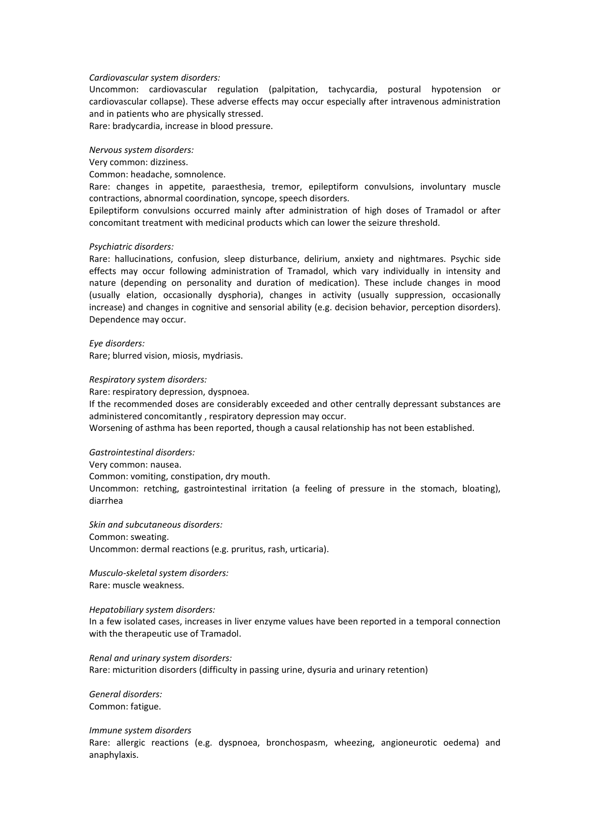#### *Cardiovascular system disorders:*

Uncommon: cardiovascular regulation (palpitation, tachycardia, postural hypotension or cardiovascular collapse). These adverse effects may occur especially after intravenous administration and in patients who are physically stressed.

Rare: bradycardia, increase in blood pressure.

### *Nervous system disorders:*

Very common: dizziness.

Common: headache, somnolence.

Rare: changes in appetite, paraesthesia, tremor, epileptiform convulsions, involuntary muscle contractions, abnormal coordination, syncope, speech disorders.

Epileptiform convulsions occurred mainly after administration of high doses of Tramadol or after concomitant treatment with medicinal products which can lower the seizure threshold.

#### *Psychiatric disorders:*

Rare: hallucinations, confusion, sleep disturbance, delirium, anxiety and nightmares. Psychic side effects may occur following administration of Tramadol, which vary individually in intensity and nature (depending on personality and duration of medication). These include changes in mood (usually elation, occasionally dysphoria), changes in activity (usually suppression, occasionally increase) and changes in cognitive and sensorial ability (e.g. decision behavior, perception disorders). Dependence may occur.

*Eye disorders:*  Rare; blurred vision, miosis, mydriasis.

*Respiratory system disorders:* 

Rare: respiratory depression, dyspnoea.

If the recommended doses are considerably exceeded and other centrally depressant substances are administered concomitantly , respiratory depression may occur.

Worsening of asthma has been reported, though a causal relationship has not been established.

### *Gastrointestinal disorders:*

Very common: nausea. Common: vomiting, constipation, dry mouth. Uncommon: retching, gastrointestinal irritation (a feeling of pressure in the stomach, bloating), diarrhea

*Skin and subcutaneous disorders:*  Common: sweating.

Uncommon: dermal reactions (e.g. pruritus, rash, urticaria).

*Musculo-skeletal system disorders:* Rare: muscle weakness.

#### *Hepatobiliary system disorders:*

In a few isolated cases, increases in liver enzyme values have been reported in a temporal connection with the therapeutic use of Tramadol.

*Renal and urinary system disorders:* Rare: micturition disorders (difficulty in passing urine, dysuria and urinary retention)

*General disorders:*  Common: fatigue.

*Immune system disorders*  Rare: allergic reactions (e.g. dyspnoea, bronchospasm, wheezing, angioneurotic oedema) and anaphylaxis.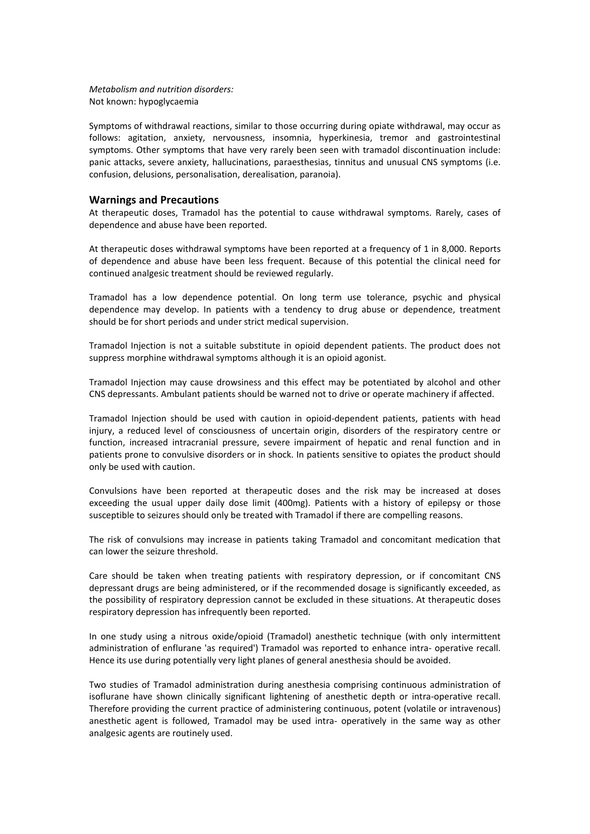### *Metabolism and nutrition disorders:*  Not known: hypoglycaemia

Symptoms of withdrawal reactions, similar to those occurring during opiate withdrawal, may occur as follows: agitation, anxiety, nervousness, insomnia, hyperkinesia, tremor and gastrointestinal symptoms. Other symptoms that have very rarely been seen with tramadol discontinuation include: panic attacks, severe anxiety, hallucinations, paraesthesias, tinnitus and unusual CNS symptoms (i.e. confusion, delusions, personalisation, derealisation, paranoia).

### **Warnings and Precautions**

At therapeutic doses, Tramadol has the potential to cause withdrawal symptoms. Rarely, cases of dependence and abuse have been reported.

At therapeutic doses withdrawal symptoms have been reported at a frequency of 1 in 8,000. Reports of dependence and abuse have been less frequent. Because of this potential the clinical need for continued analgesic treatment should be reviewed regularly.

Tramadol has a low dependence potential. On long term use tolerance, psychic and physical dependence may develop. In patients with a tendency to drug abuse or dependence, treatment should be for short periods and under strict medical supervision.

Tramadol Injection is not a suitable substitute in opioid dependent patients. The product does not suppress morphine withdrawal symptoms although it is an opioid agonist.

Tramadol Injection may cause drowsiness and this effect may be potentiated by alcohol and other CNS depressants. Ambulant patients should be warned not to drive or operate machinery if affected.

Tramadol Injection should be used with caution in opioid-dependent patients, patients with head injury, a reduced level of consciousness of uncertain origin, disorders of the respiratory centre or function, increased intracranial pressure, severe impairment of hepatic and renal function and in patients prone to convulsive disorders or in shock. In patients sensitive to opiates the product should only be used with caution.

Convulsions have been reported at therapeutic doses and the risk may be increased at doses exceeding the usual upper daily dose limit (400mg). Patients with a history of epilepsy or those susceptible to seizures should only be treated with Tramadol if there are compelling reasons.

The risk of convulsions may increase in patients taking Tramadol and concomitant medication that can lower the seizure threshold.

Care should be taken when treating patients with respiratory depression, or if concomitant CNS depressant drugs are being administered, or if the recommended dosage is significantly exceeded, as the possibility of respiratory depression cannot be excluded in these situations. At therapeutic doses respiratory depression has infrequently been reported.

In one study using a nitrous oxide/opioid (Tramadol) anesthetic technique (with only intermittent administration of enflurane 'as required') Tramadol was reported to enhance intra- operative recall. Hence its use during potentially very light planes of general anesthesia should be avoided.

Two studies of Tramadol administration during anesthesia comprising continuous administration of isoflurane have shown clinically significant lightening of anesthetic depth or intra-operative recall. Therefore providing the current practice of administering continuous, potent (volatile or intravenous) anesthetic agent is followed, Tramadol may be used intra- operatively in the same way as other analgesic agents are routinely used.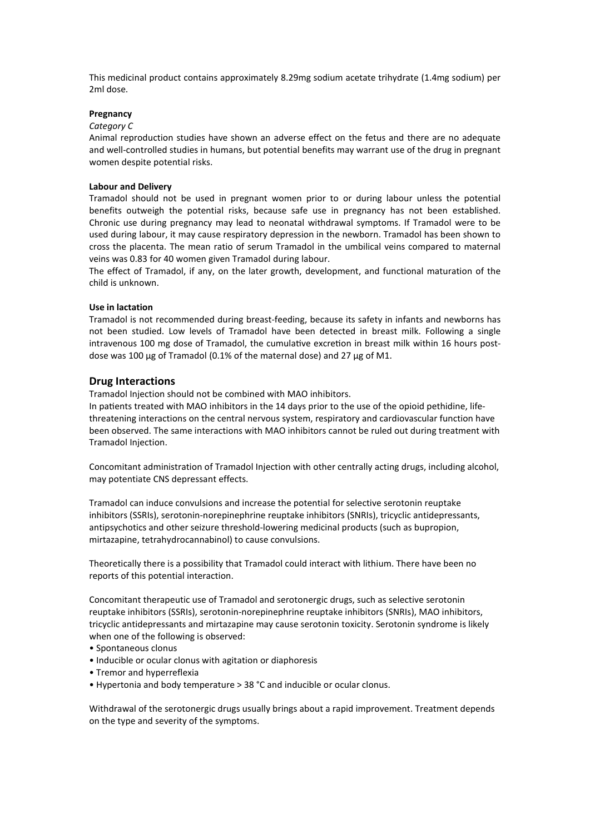This medicinal product contains approximately 8.29mg sodium acetate trihydrate (1.4mg sodium) per 2ml dose.

### **Pregnancy**

#### *Category C*

Animal reproduction studies have shown an adverse effect on the fetus and there are no adequate and well-controlled studies in humans, but potential benefits may warrant use of the drug in pregnant women despite potential risks.

#### **Labour and Delivery**

Tramadol should not be used in pregnant women prior to or during labour unless the potential benefits outweigh the potential risks, because safe use in pregnancy has not been established. Chronic use during pregnancy may lead to neonatal withdrawal symptoms. If Tramadol were to be used during labour, it may cause respiratory depression in the newborn. Tramadol has been shown to cross the placenta. The mean ratio of serum Tramadol in the umbilical veins compared to maternal veins was 0.83 for 40 women given Tramadol during labour.

The effect of Tramadol, if any, on the later growth, development, and functional maturation of the child is unknown.

#### **Use in lactation**

Tramadol is not recommended during breast-feeding, because its safety in infants and newborns has not been studied. Low levels of Tramadol have been detected in breast milk. Following a single intravenous 100 mg dose of Tramadol, the cumulative excretion in breast milk within 16 hours postdose was 100 μg of Tramadol (0.1% of the maternal dose) and 27 μg of M1.

### **Drug Interactions**

Tramadol Injection should not be combined with MAO inhibitors.

In patients treated with MAO inhibitors in the 14 days prior to the use of the opioid pethidine, lifethreatening interactions on the central nervous system, respiratory and cardiovascular function have been observed. The same interactions with MAO inhibitors cannot be ruled out during treatment with Tramadol Injection.

Concomitant administration of Tramadol Injection with other centrally acting drugs, including alcohol, may potentiate CNS depressant effects.

Tramadol can induce convulsions and increase the potential for selective serotonin reuptake inhibitors (SSRIs), serotonin-norepinephrine reuptake inhibitors (SNRIs), tricyclic antidepressants, antipsychotics and other seizure threshold-lowering medicinal products (such as bupropion, mirtazapine, tetrahydrocannabinol) to cause convulsions.

Theoretically there is a possibility that Tramadol could interact with lithium. There have been no reports of this potential interaction.

Concomitant therapeutic use of Tramadol and serotonergic drugs, such as selective serotonin reuptake inhibitors (SSRIs), serotonin-norepinephrine reuptake inhibitors (SNRIs), MAO inhibitors, tricyclic antidepressants and mirtazapine may cause serotonin toxicity. Serotonin syndrome is likely when one of the following is observed:

- Spontaneous clonus
- Inducible or ocular clonus with agitation or diaphoresis
- Tremor and hyperreflexia
- Hypertonia and body temperature > 38 °C and inducible or ocular clonus.

Withdrawal of the serotonergic drugs usually brings about a rapid improvement. Treatment depends on the type and severity of the symptoms.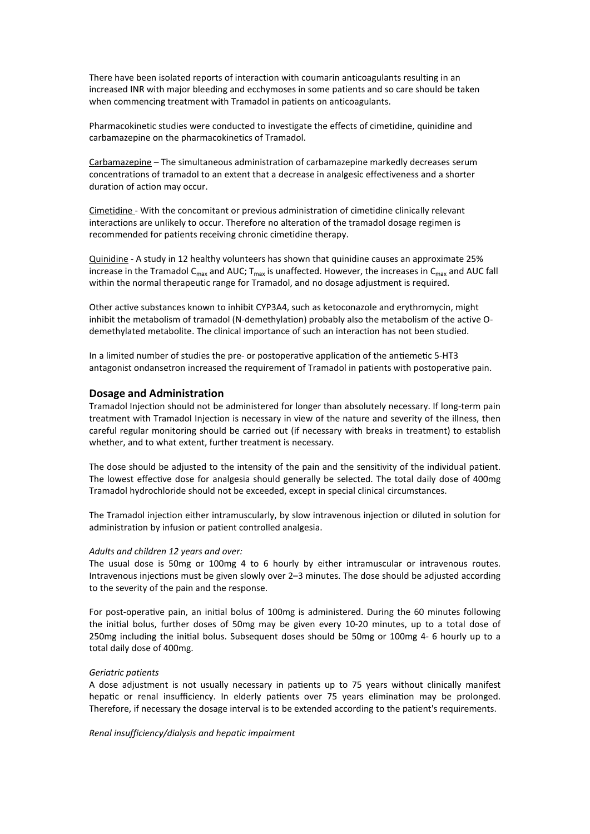There have been isolated reports of interaction with coumarin anticoagulants resulting in an increased INR with major bleeding and ecchymoses in some patients and so care should be taken when commencing treatment with Tramadol in patients on anticoagulants.

Pharmacokinetic studies were conducted to investigate the effects of cimetidine, quinidine and carbamazepine on the pharmacokinetics of Tramadol.

Carbamazepine – The simultaneous administration of carbamazepine markedly decreases serum concentrations of tramadol to an extent that a decrease in analgesic effectiveness and a shorter duration of action may occur.

Cimetidine - With the concomitant or previous administration of cimetidine clinically relevant interactions are unlikely to occur. Therefore no alteration of the tramadol dosage regimen is recommended for patients receiving chronic cimetidine therapy.

Quinidine - A study in 12 healthy volunteers has shown that quinidine causes an approximate 25% increase in the Tramadol  $C_{\text{max}}$  and AUC;  $T_{\text{max}}$  is unaffected. However, the increases in  $C_{\text{max}}$  and AUC fall within the normal therapeutic range for Tramadol, and no dosage adjustment is required.

Other active substances known to inhibit CYP3A4, such as ketoconazole and erythromycin, might inhibit the metabolism of tramadol (N-demethylation) probably also the metabolism of the active Odemethylated metabolite. The clinical importance of such an interaction has not been studied.

In a limited number of studies the pre- or postoperative application of the antiemetic 5-HT3 antagonist ondansetron increased the requirement of Tramadol in patients with postoperative pain.

### **Dosage and Administration**

Tramadol Injection should not be administered for longer than absolutely necessary. If long-term pain treatment with Tramadol Injection is necessary in view of the nature and severity of the illness, then careful regular monitoring should be carried out (if necessary with breaks in treatment) to establish whether, and to what extent, further treatment is necessary.

The dose should be adjusted to the intensity of the pain and the sensitivity of the individual patient. The lowest effective dose for analgesia should generally be selected. The total daily dose of 400mg Tramadol hydrochloride should not be exceeded, except in special clinical circumstances.

The Tramadol injection either intramuscularly, by slow intravenous injection or diluted in solution for administration by infusion or patient controlled analgesia.

#### *Adults and children 12 years and over:*

The usual dose is 50mg or 100mg 4 to 6 hourly by either intramuscular or intravenous routes. Intravenous injections must be given slowly over 2-3 minutes. The dose should be adjusted according to the severity of the pain and the response.

For post-operative pain, an initial bolus of 100mg is administered. During the 60 minutes following the initial bolus, further doses of 50mg may be given every 10-20 minutes, up to a total dose of 250mg including the initial bolus. Subsequent doses should be 50mg or 100mg 4- 6 hourly up to a total daily dose of 400mg.

### *Geriatric patients*

A dose adjustment is not usually necessary in patients up to 75 years without clinically manifest hepatic or renal insufficiency. In elderly patients over 75 years elimination may be prolonged. Therefore, if necessary the dosage interval is to be extended according to the patient's requirements.

*Renal insufficiency/dialysis and hepatic impairment*